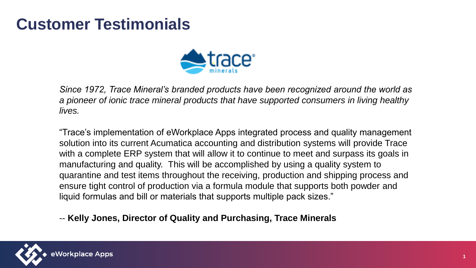## **Customer Testimonials**



*Since 1972, Trace Mineral's branded products have been recognized around the world as a pioneer of ionic trace mineral products that have supported consumers in living healthy lives.*

"Trace's implementation of eWorkplace Apps integrated process and quality management solution into its current Acumatica accounting and distribution systems will provide Trace with a complete ERP system that will allow it to continue to meet and surpass its goals in manufacturing and quality. This will be accomplished by using a quality system to quarantine and test items throughout the receiving, production and shipping process and ensure tight control of production via a formula module that supports both powder and liquid formulas and bill or materials that supports multiple pack sizes."

-- **Kelly Jones, Director of Quality and Purchasing, Trace Minerals**